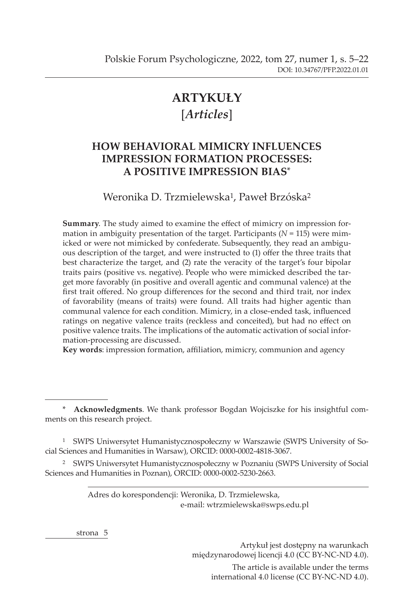# **ARTYKUŁY** [*Articles*]

# **HOW BEHAVIORAL MIMICRY INFLUENCES IMPRESSION FORMATION PROCESSES: A POSITIVE IMPRESSION BIAS**\*

Weronika D. Trzmielewska<sup>1</sup>, Paweł Brzóska<sup>2</sup>

**Summary**. The study aimed to examine the effect of mimicry on impression formation in ambiguity presentation of the target. Participants  $(N = 115)$  were mimicked or were not mimicked by confederate. Subsequently, they read an ambiguous description of the target, and were instructed to (1) offer the three traits that best characterize the target, and (2) rate the veracity of the target's four bipolar traits pairs (positive vs. negative). People who were mimicked described the target more favorably (in positive and overall agentic and communal valence) at the first trait offered. No group differences for the second and third trait, nor index of favorability (means of traits) were found. All traits had higher agentic than communal valence for each condition. Mimicry, in a close-ended task, influenced ratings on negative valence traits (reckless and conceited), but had no effect on positive valence traits. The implications of the automatic activation of social information-processing are discussed.

**Key words**: impression formation, affiliation, mimicry, communion and agency

\* **Acknowledgments**. We thank professor Bogdan Wojciszke for his insightful comments on this research project.

1 SWPS Uniwersytet Humanistycznospołeczny w Warszawie (SWPS University of Social Sciences and Humanities in Warsaw), ORCID: 0000-0002-4818-3067.

<sup>2</sup> SWPS Uniwersytet Humanistycznospołeczny w Poznaniu (SWPS University of Social Sciences and Humanities in Poznan), ORCID: 0000-0002-5230-2663.

> Adres do korespondencji: Weronika, D. Trzmielewska, e-mail: wtrzmielewska@swps.edu.pl

strona<sub>5</sub>

Artykuł jest dostępny na warunkach międzynarodowej licencji 4.0 (CC BY-NC-ND 4.0). The article is available under the terms international 4.0 license (CC BY-NC-ND 4.0).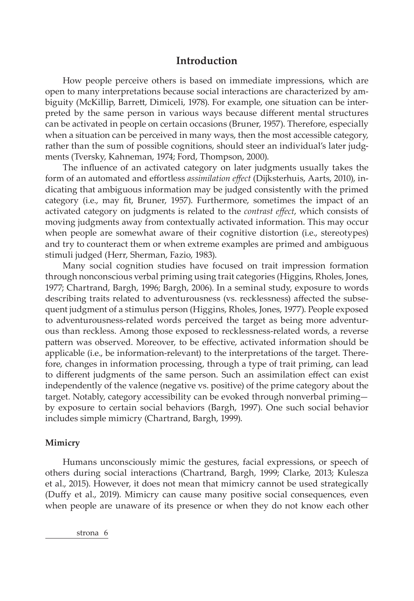# **Introduction**

How people perceive others is based on immediate impressions, which are open to many interpretations because social interactions are characterized by ambiguity (McKillip, Barrett, Dimiceli, 1978). For example, one situation can be interpreted by the same person in various ways because different mental structures can be activated in people on certain occasions (Bruner, 1957). Therefore, especially when a situation can be perceived in many ways, then the most accessible category, rather than the sum of possible cognitions, should steer an individual's later judgments (Tversky, Kahneman, 1974; Ford, Thompson, 2000).

The influence of an activated category on later judgments usually takes the form of an automated and effortless *assimilation effect* (Dijksterhuis, Aarts, 2010), indicating that ambiguous information may be judged consistently with the primed category (i.e., may fit, Bruner, 1957). Furthermore, sometimes the impact of an activated category on judgments is related to the *contrast effect*, which consists of moving judgments away from contextually activated information. This may occur when people are somewhat aware of their cognitive distortion (i.e., stereotypes) and try to counteract them or when extreme examples are primed and ambiguous stimuli judged (Herr, Sherman, Fazio, 1983).

Many social cognition studies have focused on trait impression formation through nonconscious verbal priming using trait categories (Higgins, Rholes, Jones, 1977; Chartrand, Bargh, 1996; Bargh, 2006). In a seminal study, exposure to words describing traits related to adventurousness (vs. recklessness) affected the subsequent judgment of a stimulus person (Higgins, Rholes, Jones, 1977). People exposed to adventurousness-related words perceived the target as being more adventurous than reckless. Among those exposed to recklessness-related words, a reverse pattern was observed. Moreover, to be effective, activated information should be applicable (i.e., be information-relevant) to the interpretations of the target. Therefore, changes in information processing, through a type of trait priming, can lead to different judgments of the same person. Such an assimilation effect can exist independently of the valence (negative vs. positive) of the prime category about the target. Notably, category accessibility can be evoked through nonverbal priming by exposure to certain social behaviors (Bargh, 1997). One such social behavior includes simple mimicry (Chartrand, Bargh, 1999).

#### **Mimicry**

Humans unconsciously mimic the gestures, facial expressions, or speech of others during social interactions (Chartrand, Bargh, 1999; Clarke, 2013; Kulesza et al., 2015). However, it does not mean that mimicry cannot be used strategically (Duffy et al., 2019). Mimicry can cause many positive social consequences, even when people are unaware of its presence or when they do not know each other

strona<sub>6</sub>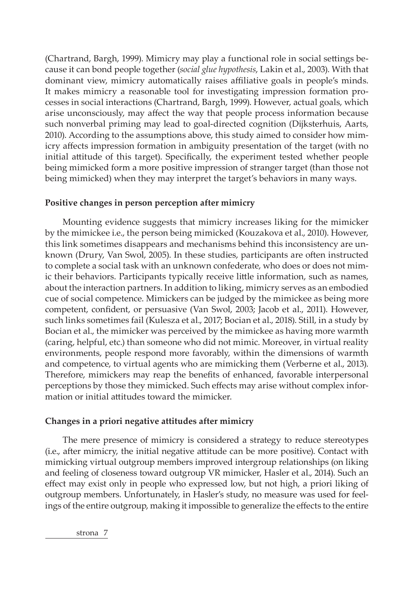(Chartrand, Bargh, 1999). Mimicry may play a functional role in social settings because it can bond people together (*social glue hypothesis*, Lakin et al., 2003). With that dominant view, mimicry automatically raises affiliative goals in people's minds. It makes mimicry a reasonable tool for investigating impression formation processes in social interactions (Chartrand, Bargh, 1999). However, actual goals, which arise unconsciously, may affect the way that people process information because such nonverbal priming may lead to goal-directed cognition (Dijksterhuis, Aarts, 2010). According to the assumptions above, this study aimed to consider how mimicry affects impression formation in ambiguity presentation of the target (with no initial attitude of this target). Specifically, the experiment tested whether people being mimicked form a more positive impression of stranger target (than those not being mimicked) when they may interpret the target's behaviors in many ways.

# **Positive changes in person perception after mimicry**

Mounting evidence suggests that mimicry increases liking for the mimicker by the mimickee i.e., the person being mimicked (Kouzakova et al., 2010). However, this link sometimes disappears and mechanisms behind this inconsistency are unknown (Drury, Van Swol, 2005). In these studies, participants are often instructed to complete a social task with an unknown confederate, who does or does not mimic their behaviors. Participants typically receive little information, such as names, about the interaction partners. In addition to liking, mimicry serves as an embodied cue of social competence. Mimickers can be judged by the mimickee as being more competent, confident, or persuasive (Van Swol, 2003; Jacob et al., 2011). However, such links sometimes fail (Kulesza et al., 2017; Bocian et al., 2018). Still, in a study by Bocian et al., the mimicker was perceived by the mimickee as having more warmth (caring, helpful, etc.) than someone who did not mimic. Moreover, in virtual reality environments, people respond more favorably, within the dimensions of warmth and competence, to virtual agents who are mimicking them (Verberne et al., 2013). Therefore, mimickers may reap the benefits of enhanced, favorable interpersonal perceptions by those they mimicked. Such effects may arise without complex information or initial attitudes toward the mimicker.

# **Changes in a priori negative attitudes after mimicry**

The mere presence of mimicry is considered a strategy to reduce stereotypes (i.e., after mimicry, the initial negative attitude can be more positive). Contact with mimicking virtual outgroup members improved intergroup relationships (on liking and feeling of closeness toward outgroup VR mimicker, Hasler et al., 2014). Such an effect may exist only in people who expressed low, but not high, a priori liking of outgroup members. Unfortunately, in Hasler's study, no measure was used for feelings of the entire outgroup, making it impossible to generalize the effects to the entire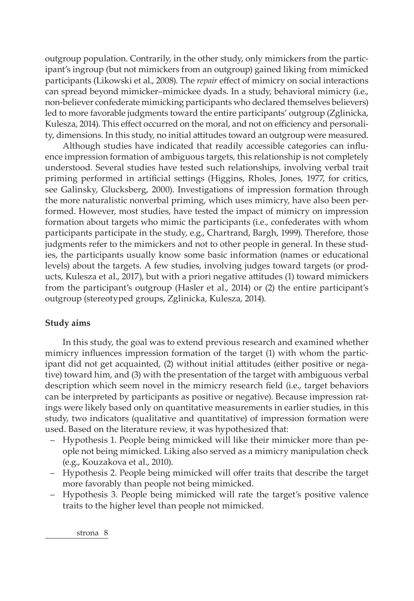outgroup population. Contrarily, in the other study, only mimickers from the participant's ingroup (but not mimickers from an outgroup) gained liking from mimicked participants (Likowski et al., 2008). The *repair* effect of mimicry on social interactions can spread beyond mimicker–mimickee dyads. In a study, behavioral mimicry (i.e., non-believer confederate mimicking participants who declared themselves believers) led to more favorable judgments toward the entire participants' outgroup (Zglinicka, Kulesza, 2014). This effect occurred on the moral, and not on efficiency and personality, dimensions. In this study, no initial attitudes toward an outgroup were measured.

Although studies have indicated that readily accessible categories can influence impression formation of ambiguous targets, this relationship is not completely understood. Several studies have tested such relationships, involving verbal trait priming performed in artificial settings (Higgins, Rholes, Jones, 1977, for critics, see Galinsky, Glucksberg, 2000). Investigations of impression formation through the more naturalistic nonverbal priming, which uses mimicry, have also been performed. However, most studies, have tested the impact of mimicry on impression formation about targets who mimic the participants (i.e., confederates with whom participants participate in the study, e.g., Chartrand, Bargh, 1999). Therefore, those judgments refer to the mimickers and not to other people in general. In these studies, the participants usually know some basic information (names or educational levels) about the targets. A few studies, involving judges toward targets (or products, Kulesza et al., 2017), but with a priori negative attitudes (1) toward mimickers from the participant's outgroup (Hasler et al., 2014) or (2) the entire participant's outgroup (stereotyped groups, Zglinicka, Kulesza, 2014).

#### **Study aims**

In this study, the goal was to extend previous research and examined whether mimicry influences impression formation of the target (1) with whom the participant did not get acquainted, (2) without initial attitudes (either positive or negative) toward him, and (3) with the presentation of the target with ambiguous verbal description which seem novel in the mimicry research field (i.e., target behaviors can be interpreted by participants as positive or negative). Because impression ratings were likely based only on quantitative measurements in earlier studies, in this study, two indicators (qualitative and quantitative) of impression formation were used. Based on the literature review, it was hypothesized that:

- Hypothesis 1. People being mimicked will like their mimicker more than people not being mimicked. Liking also served as a mimicry manipulation check (e.g., Kouzakova et al., 2010).
- Hypothesis 2. People being mimicked will offer traits that describe the target more favorably than people not being mimicked.
- Hypothesis 3. People being mimicked will rate the target's positive valence traits to the higher level than people not mimicked.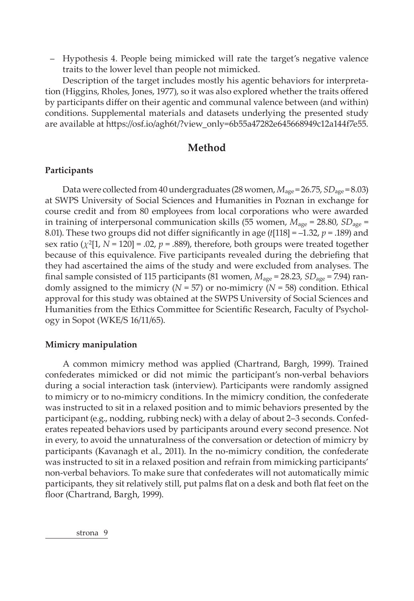– Hypothesis 4. People being mimicked will rate the target's negative valence traits to the lower level than people not mimicked.

Description of the target includes mostly his agentic behaviors for interpretation (Higgins, Rholes, Jones, 1977), so it was also explored whether the traits offered by participants differ on their agentic and communal valence between (and within) conditions. Supplemental materials and datasets underlying the presented study are available at https://osf.io/agh6t/?view\_only=6b55a47282e645668949c12a144f7e55.

# **Method**

# **Participants**

Data were collected from 40 undergraduates (28 women, *M*age = 26.75, *SD*age = 8.03) at SWPS University of Social Sciences and Humanities in Poznan in exchange for course credit and from 80 employees from local corporations who were awarded in training of interpersonal communication skills (55 women, *M*age = 28.80, *SD*age = 8.01). These two groups did not differ significantly in age (*t*[118] = –1.32, *p* = .189) and sex ratio  $(\chi^2[1, N = 120] = .02, p = .889)$ , therefore, both groups were treated together because of this equivalence. Five participants revealed during the debriefing that they had ascertained the aims of the study and were excluded from analyses. The final sample consisted of 115 participants (81 women,  $M_{\text{age}} = 28.23$ ,  $SD_{\text{age}} = 7.94$ ) randomly assigned to the mimicry ( $N = 57$ ) or no-mimicry ( $N = 58$ ) condition. Ethical approval for this study was obtained at the SWPS University of Social Sciences and Humanities from the Ethics Committee for Scientific Research, Faculty of Psychology in Sopot (WKE/S 16/11/65).

## **Mimicry manipulation**

A common mimicry method was applied (Chartrand, Bargh, 1999). Trained confederates mimicked or did not mimic the participant's non-verbal behaviors during a social interaction task (interview). Participants were randomly assigned to mimicry or to no-mimicry conditions. In the mimicry condition, the confederate was instructed to sit in a relaxed position and to mimic behaviors presented by the participant (e.g., nodding, rubbing neck) with a delay of about 2–3 seconds. Confederates repeated behaviors used by participants around every second presence. Not in every, to avoid the unnaturalness of the conversation or detection of mimicry by participants (Kavanagh et al., 2011). In the no-mimicry condition, the confederate was instructed to sit in a relaxed position and refrain from mimicking participants' non-verbal behaviors. To make sure that confederates will not automatically mimic participants, they sit relatively still, put palms flat on a desk and both flat feet on the floor (Chartrand, Bargh, 1999).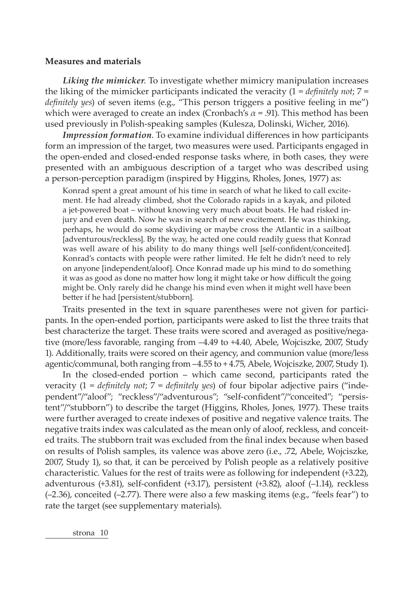#### **Measures and materials**

*Liking the mimicker*. To investigate whether mimicry manipulation increases the liking of the mimicker participants indicated the veracity  $(1 = \text{definitely not}; 7 =$ *definitely yes*) of seven items (e.g., "This person triggers a positive feeling in me") which were averaged to create an index (Cronbach's  $\alpha$  = .91). This method has been used previously in Polish-speaking samples (Kulesza, Dolinski, Wicher, 2016).

*Impression formation*. To examine individual differences in how participants form an impression of the target, two measures were used. Participants engaged in the open-ended and closed-ended response tasks where, in both cases, they were presented with an ambiguous description of a target who was described using a person-perception paradigm (inspired by Higgins, Rholes, Jones, 1977) as:

Konrad spent a great amount of his time in search of what he liked to call excitement. He had already climbed, shot the Colorado rapids in a kayak, and piloted a jet-powered boat – without knowing very much about boats. He had risked injury and even death. Now he was in search of new excitement. He was thinking, perhaps, he would do some skydiving or maybe cross the Atlantic in a sailboat [adventurous/reckless]. By the way, he acted one could readily guess that Konrad was well aware of his ability to do many things well [self-confident/conceited]. Konrad's contacts with people were rather limited. He felt he didn't need to rely on anyone [independent/aloof]. Once Konrad made up his mind to do something it was as good as done no matter how long it might take or how difficult the going might be. Only rarely did he change his mind even when it might well have been better if he had [persistent/stubborn].

Traits presented in the text in square parentheses were not given for participants. In the open-ended portion, participants were asked to list the three traits that best characterize the target. These traits were scored and averaged as positive/negative (more/less favorable, ranging from –4.49 to +4.40, Abele, Wojciszke, 2007, Study 1). Additionally, traits were scored on their agency, and communion value (more/less agentic/communal, both ranging from –4.55 to + 4.75, Abele, Wojciszke, 2007, Study 1).

In the closed-ended portion – which came second, participants rated the veracity (1 = *definitely not*; 7 = *definitely yes*) of four bipolar adjective pairs ("independent"/"aloof"; "reckless"/"adventurous"; "self-confident"/"conceited"; "persistent"/"stubborn") to describe the target (Higgins, Rholes, Jones, 1977). These traits were further averaged to create indexes of positive and negative valence traits. The negative traits index was calculated as the mean only of aloof, reckless, and conceited traits. The stubborn trait was excluded from the final index because when based on results of Polish samples, its valence was above zero (i.e., .72, Abele, Wojciszke, 2007, Study 1), so that, it can be perceived by Polish people as a relatively positive characteristic. Values for the rest of traits were as following for independent (+3.22), adventurous (+3.81), self-confident (+3.17), persistent (+3.82), aloof (–1.14), reckless (–2.36), conceited (–2.77). There were also a few masking items (e.g., "feels fear") to rate the target (see supplementary materials).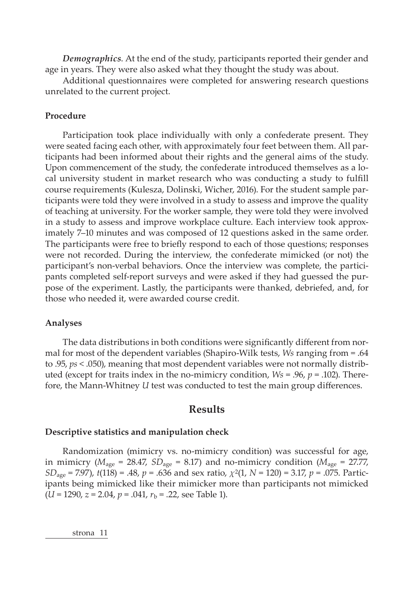*Demographics*. At the end of the study, participants reported their gender and age in years. They were also asked what they thought the study was about.

Additional questionnaires were completed for answering research questions unrelated to the current project.

#### **Procedure**

Participation took place individually with only a confederate present. They were seated facing each other, with approximately four feet between them. All participants had been informed about their rights and the general aims of the study. Upon commencement of the study, the confederate introduced themselves as a local university student in market research who was conducting a study to fulfill course requirements (Kulesza, Dolinski, Wicher, 2016). For the student sample participants were told they were involved in a study to assess and improve the quality of teaching at university. For the worker sample, they were told they were involved in a study to assess and improve workplace culture. Each interview took approximately 7–10 minutes and was composed of 12 questions asked in the same order. The participants were free to briefly respond to each of those questions; responses were not recorded. During the interview, the confederate mimicked (or not) the participant's non-verbal behaviors. Once the interview was complete, the participants completed self-report surveys and were asked if they had guessed the purpose of the experiment. Lastly, the participants were thanked, debriefed, and, for those who needed it, were awarded course credit.

#### **Analyses**

The data distributions in both conditions were significantly different from normal for most of the dependent variables (Shapiro-Wilk tests, *Ws* ranging from = .64 to .95, *ps* < .050), meaning that most dependent variables were not normally distributed (except for traits index in the no-mimicry condition, *Ws* = .96, *p* = .102). Therefore, the Mann-Whitney *U* test was conducted to test the main group differences.

# **Results**

#### **Descriptive statistics and manipulation check**

Randomization (mimicry vs. no-mimicry condition) was successful for age, in mimicry ( $M_{\text{age}} = 28.47$ ,  $SD_{\text{age}} = 8.17$ ) and no-mimicry condition ( $M_{\text{age}} = 27.77$ , *SD*age = 7.97), *t*(118) = .48, *p* = .636 and sex ratio, *χ*2(1, *N* = 120) = 3.17, *p* = .075. Participants being mimicked like their mimicker more than participants not mimicked (*U* = 1290, *z* = 2.04, *p* = .041, *r*<sup>b</sup> = .22, see Table 1).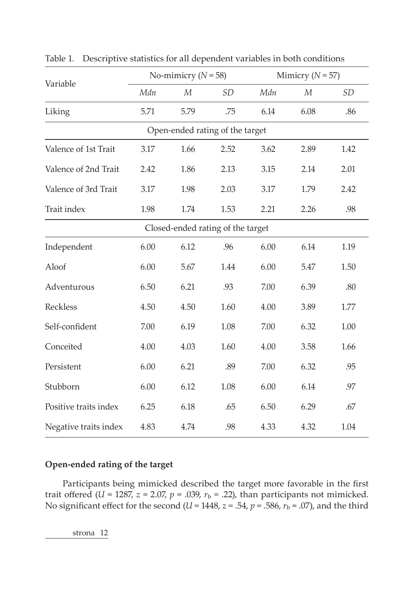| Variable                          | No-mimicry ( $N = 58$ ) |                |           | Mimicry ( $N = 57$ ) |                |           |  |  |  |  |  |
|-----------------------------------|-------------------------|----------------|-----------|----------------------|----------------|-----------|--|--|--|--|--|
|                                   | Mdn                     | $\overline{M}$ | <b>SD</b> | Mdn                  | $\overline{M}$ | <b>SD</b> |  |  |  |  |  |
| Liking                            | 5.71                    | 5.79           | .75       | 6.14                 | 6.08           | .86       |  |  |  |  |  |
| Open-ended rating of the target   |                         |                |           |                      |                |           |  |  |  |  |  |
| Valence of 1st Trait              | 3.17                    | 1.66           | 2.52      | 3.62                 | 2.89           | 1.42      |  |  |  |  |  |
| Valence of 2nd Trait              | 2.42                    | 1.86           | 2.13      | 3.15                 | 2.14           | 2.01      |  |  |  |  |  |
| Valence of 3rd Trait              | 3.17                    | 1.98           | 2.03      | 3.17                 | 1.79           | 2.42      |  |  |  |  |  |
| Trait index                       | 1.98                    | 1.74           | 1.53      | 2.21                 | 2.26           | .98       |  |  |  |  |  |
| Closed-ended rating of the target |                         |                |           |                      |                |           |  |  |  |  |  |
| Independent                       | 6.00                    | 6.12           | .96       | 6.00                 | 6.14           | 1.19      |  |  |  |  |  |
| Aloof                             | 6.00                    | 5.67           | 1.44      | 6.00                 | 5.47           | 1.50      |  |  |  |  |  |
| Adventurous                       | 6.50                    | 6.21           | .93       | 7.00                 | 6.39           | .80       |  |  |  |  |  |
| Reckless                          | 4.50                    | 4.50           | 1.60      | 4.00                 | 3.89           | 1.77      |  |  |  |  |  |
| Self-confident                    | 7.00                    | 6.19           | 1.08      | 7.00                 | 6.32           | 1.00      |  |  |  |  |  |
| Conceited                         | 4.00                    | 4.03           | 1.60      | 4.00                 | 3.58           | 1.66      |  |  |  |  |  |
| Persistent                        | 6.00                    | 6.21           | .89       | 7.00                 | 6.32           | .95       |  |  |  |  |  |
| Stubborn                          | 6.00                    | 6.12           | 1.08      | 6.00                 | 6.14           | .97       |  |  |  |  |  |
| Positive traits index             | 6.25                    | 6.18           | .65       | 6.50                 | 6.29           | .67       |  |  |  |  |  |
| Negative traits index             | 4.83                    | 4.74           | .98       | 4.33                 | 4.32           | 1.04      |  |  |  |  |  |

Table 1. Descriptive statistics for all dependent variables in both conditions

# **Open-ended rating of the target**

Participants being mimicked described the target more favorable in the first trait offered ( $U = 1287$ ,  $z = 2.07$ ,  $p = .039$ ,  $r_b = .22$ ), than participants not mimicked. No significant effect for the second ( $U = 1448$ ,  $z = .54$ ,  $p = .586$ ,  $r<sub>b</sub> = .07$ ), and the third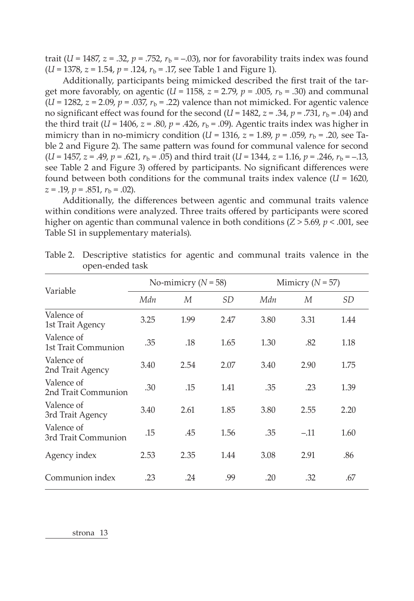trait ( $U = 1487$ ,  $z = .32$ ,  $p = .752$ ,  $r<sub>b</sub> = -.03$ ), nor for favorability traits index was found  $(U = 1378, z = 1.54, p = .124, r<sub>b</sub> = .17$ , see Table 1 and Figure 1).

Additionally, participants being mimicked described the first trait of the target more favorably, on agentic ( $U = 1158$ ,  $z = 2.79$ ,  $p = .005$ ,  $r<sub>b</sub> = .30$ ) and communal  $(U = 1282, z = 2.09, p = .037, r_b = .22)$  valence than not mimicked. For agentic valence no significant effect was found for the second  $(U = 1482, z = .34, p = .731, r_b = .04)$  and the third trait  $(U = 1406, z = .80, p = .426, r_b = .09)$ . Agentic traits index was higher in mimicry than in no-mimicry condition (*U* = 1316, *z* = 1.89, *p* = .059,  $r<sub>b</sub>$  = .20, see Table 2 and Figure 2). The same pattern was found for communal valence for second  $(U = 1457, z = .49, p = .621, r_b = .05)$  and third trait  $(U = 1344, z = 1.16, p = .246, r_b = -.13,$ see Table 2 and Figure 3) offered by participants. No significant differences were found between both conditions for the communal traits index valence  $(U = 1620)$ ,  $z = .19$ ,  $p = .851$ ,  $r<sub>b</sub> = .02$ ).

Additionally, the differences between agentic and communal traits valence within conditions were analyzed. Three traits offered by participants were scored higher on agentic than communal valence in both conditions  $(Z > 5.69, p < .001,$  see Table S1 in supplementary materials).

| Variable                          | No-mimicry ( $N = 58$ ) |      |           | Mimicry ( $N = 57$ ) |        |           |
|-----------------------------------|-------------------------|------|-----------|----------------------|--------|-----------|
|                                   | Mdn                     | M    | <b>SD</b> | Mdn                  | M      | <b>SD</b> |
| Valence of<br>1st Trait Agency    | 3.25                    | 1.99 | 2.47      | 3.80                 | 3.31   | 1.44      |
| Valence of<br>1st Trait Communion | .35                     | .18  | 1.65      | 1.30                 | .82    | 1.18      |
| Valence of<br>2nd Trait Agency    | 3.40                    | 2.54 | 2.07      | 3.40                 | 2.90   | 1.75      |
| Valence of<br>2nd Trait Communion | .30                     | .15  | 1.41      | .35                  | .23    | 1.39      |
| Valence of<br>3rd Trait Agency    | 3.40                    | 2.61 | 1.85      | 3.80                 | 2.55   | 2.20      |
| Valence of<br>3rd Trait Communion | .15                     | .45  | 1.56      | .35                  | $-.11$ | 1.60      |
| Agency index                      | 2.53                    | 2.35 | 1.44      | 3.08                 | 2.91   | .86       |
| Communion index                   | .23                     | .24  | .99       | .20                  | .32    | .67       |

Table 2. Descriptive statistics for agentic and communal traits valence in the open-ended task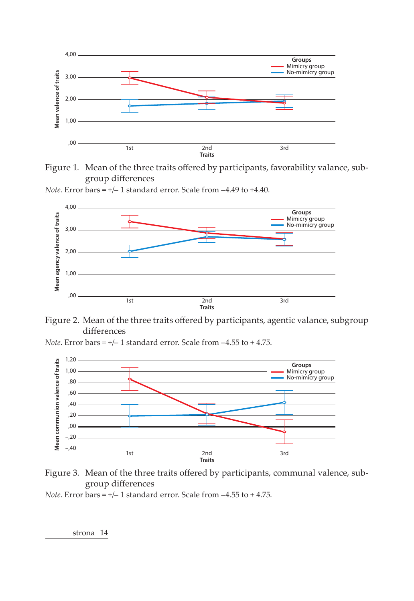

Figure 1. Mean of the three traits offered by participants, favorability valance, subgroup differences

*Note*. Error bars = +/– 1 standard error. Scale from –4.49 to +4.40.





*Note*. Error bars = +/– 1 standard error. Scale from –4.55 to + 4.75.





*Note*. Error bars = +/– 1 standard error. Scale from –4.55 to + 4.75.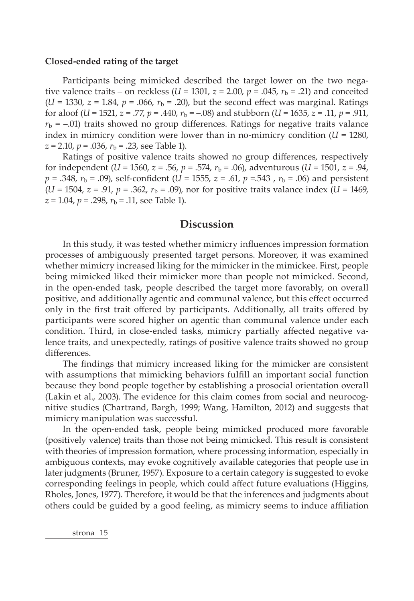#### **Closed-ended rating of the target**

Participants being mimicked described the target lower on the two negative valence traits – on reckless  $(U = 1301, z = 2.00, p = .045, r_b = .21)$  and conceited  $(U = 1330, z = 1.84, p = .066, r<sub>b</sub> = .20)$ , but the second effect was marginal. Ratings for aloof (*U* = 1521, *z* = .77, *p* = .440,  $r_b$  = –.08) and stubborn (*U* = 1635, *z* = .11, *p* = .911,  $r<sub>b</sub> = -0.01$ ) traits showed no group differences. Ratings for negative traits valance index in mimicry condition were lower than in no-mimicry condition  $(U = 1280)$ ,  $z = 2.10$ ,  $p = .036$ ,  $r<sub>b</sub> = .23$ , see Table 1).

Ratings of positive valence traits showed no group differences, respectively for independent (*U* = 1560, *z* = .56, *p* = .574,  $r_b$  = .06), adventurous (*U* = 1501, *z* = .94,  $p = .348$ ,  $r_b = .09$ ), self-confident (*U* = 1555, *z* = .61, *p* = .543,  $r_b = .06$ ) and persistent  $(U = 1504, z = .91, p = .362, r<sub>b</sub> = .09)$ , nor for positive traits valance index  $(U = 1469, z = .91, p = .362, r<sub>b</sub> = .09)$  $z = 1.04$ ,  $p = .298$ ,  $r<sub>b</sub> = .11$ , see Table 1).

# **Discussion**

In this study, it was tested whether mimicry influences impression formation processes of ambiguously presented target persons. Moreover, it was examined whether mimicry increased liking for the mimicker in the mimickee. First, people being mimicked liked their mimicker more than people not mimicked. Second, in the open-ended task, people described the target more favorably, on overall positive, and additionally agentic and communal valence, but this effect occurred only in the first trait offered by participants. Additionally, all traits offered by participants were scored higher on agentic than communal valence under each condition. Third, in close-ended tasks, mimicry partially affected negative valence traits, and unexpectedly, ratings of positive valence traits showed no group differences.

The findings that mimicry increased liking for the mimicker are consistent with assumptions that mimicking behaviors fulfill an important social function because they bond people together by establishing a prosocial orientation overall (Lakin et al., 2003). The evidence for this claim comes from social and neurocognitive studies (Chartrand, Bargh, 1999; Wang, Hamilton, 2012) and suggests that mimicry manipulation was successful.

In the open-ended task, people being mimicked produced more favorable (positively valence) traits than those not being mimicked. This result is consistent with theories of impression formation, where processing information, especially in ambiguous contexts, may evoke cognitively available categories that people use in later judgments (Bruner, 1957). Exposure to a certain category is suggested to evoke corresponding feelings in people, which could affect future evaluations (Higgins, Rholes, Jones, 1977). Therefore, it would be that the inferences and judgments about others could be guided by a good feeling, as mimicry seems to induce affiliation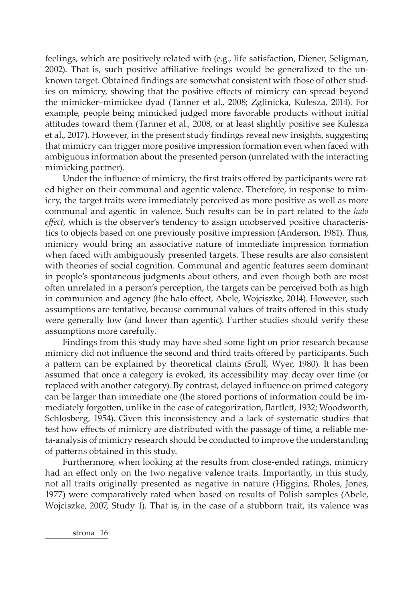feelings, which are positively related with (e.g., life satisfaction, Diener, Seligman, 2002). That is, such positive affiliative feelings would be generalized to the unknown target. Obtained findings are somewhat consistent with those of other studies on mimicry, showing that the positive effects of mimicry can spread beyond the mimicker–mimickee dyad (Tanner et al., 2008; Zglinicka, Kulesza, 2014). For example, people being mimicked judged more favorable products without initial attitudes toward them (Tanner et al., 2008, or at least slightly positive see Kulesza et al., 2017). However, in the present study findings reveal new insights, suggesting that mimicry can trigger more positive impression formation even when faced with ambiguous information about the presented person (unrelated with the interacting mimicking partner).

Under the influence of mimicry, the first traits offered by participants were rated higher on their communal and agentic valence. Therefore, in response to mimicry, the target traits were immediately perceived as more positive as well as more communal and agentic in valence. Such results can be in part related to the *halo effect*, which is the observer's tendency to assign unobserved positive characteristics to objects based on one previously positive impression (Anderson, 1981). Thus, mimicry would bring an associative nature of immediate impression formation when faced with ambiguously presented targets. These results are also consistent with theories of social cognition. Communal and agentic features seem dominant in people's spontaneous judgments about others, and even though both are most often unrelated in a person's perception, the targets can be perceived both as high in communion and agency (the halo effect, Abele, Wojciszke, 2014). However, such assumptions are tentative, because communal values of traits offered in this study were generally low (and lower than agentic). Further studies should verify these assumptions more carefully.

Findings from this study may have shed some light on prior research because mimicry did not influence the second and third traits offered by participants. Such a pattern can be explained by theoretical claims (Srull, Wyer, 1980). It has been assumed that once a category is evoked, its accessibility may decay over time (or replaced with another category). By contrast, delayed influence on primed category can be larger than immediate one (the stored portions of information could be immediately forgotten, unlike in the case of categorization, Bartlett, 1932; Woodworth, Schlosberg, 1954). Given this inconsistency and a lack of systematic studies that test how effects of mimicry are distributed with the passage of time, a reliable meta-analysis of mimicry research should be conducted to improve the understanding of patterns obtained in this study.

Furthermore, when looking at the results from close-ended ratings, mimicry had an effect only on the two negative valence traits. Importantly, in this study, not all traits originally presented as negative in nature (Higgins, Rholes, Jones, 1977) were comparatively rated when based on results of Polish samples (Abele, Wojciszke, 2007, Study 1). That is, in the case of a stubborn trait, its valence was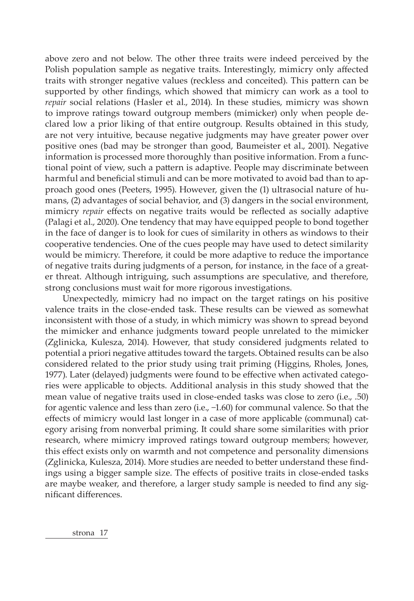above zero and not below. The other three traits were indeed perceived by the Polish population sample as negative traits. Interestingly, mimicry only affected traits with stronger negative values (reckless and conceited). This pattern can be supported by other findings, which showed that mimicry can work as a tool to *repair* social relations (Hasler et al., 2014). In these studies, mimicry was shown to improve ratings toward outgroup members (mimicker) only when people declared low a prior liking of that entire outgroup. Results obtained in this study, are not very intuitive, because negative judgments may have greater power over positive ones (bad may be stronger than good, Baumeister et al., 2001). Negative information is processed more thoroughly than positive information. From a functional point of view, such a pattern is adaptive. People may discriminate between harmful and beneficial stimuli and can be more motivated to avoid bad than to approach good ones (Peeters, 1995). However, given the (1) ultrasocial nature of humans, (2) advantages of social behavior, and (3) dangers in the social environment, mimicry *repair* effects on negative traits would be reflected as socially adaptive (Palagi et al., 2020). One tendency that may have equipped people to bond together in the face of danger is to look for cues of similarity in others as windows to their cooperative tendencies. One of the cues people may have used to detect similarity would be mimicry. Therefore, it could be more adaptive to reduce the importance of negative traits during judgments of a person, for instance, in the face of a greater threat. Although intriguing, such assumptions are speculative, and therefore, strong conclusions must wait for more rigorous investigations.

Unexpectedly, mimicry had no impact on the target ratings on his positive valence traits in the close-ended task. These results can be viewed as somewhat inconsistent with those of a study, in which mimicry was shown to spread beyond the mimicker and enhance judgments toward people unrelated to the mimicker (Zglinicka, Kulesza, 2014). However, that study considered judgments related to potential a priori negative attitudes toward the targets. Obtained results can be also considered related to the prior study using trait priming (Higgins, Rholes, Jones, 1977). Later (delayed) judgments were found to be effective when activated categories were applicable to objects. Additional analysis in this study showed that the mean value of negative traits used in close-ended tasks was close to zero (i.e., .50) for agentic valence and less than zero (i.e., −1.60) for communal valence. So that the effects of mimicry would last longer in a case of more applicable (communal) category arising from nonverbal priming. It could share some similarities with prior research, where mimicry improved ratings toward outgroup members; however, this effect exists only on warmth and not competence and personality dimensions (Zglinicka, Kulesza, 2014). More studies are needed to better understand these findings using a bigger sample size. The effects of positive traits in close-ended tasks are maybe weaker, and therefore, a larger study sample is needed to find any significant differences.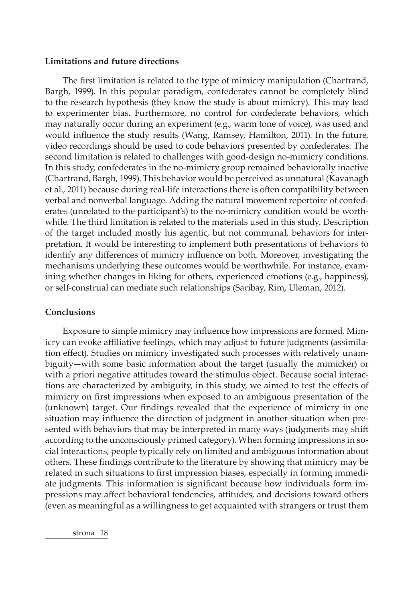#### **Limitations and future directions**

The first limitation is related to the type of mimicry manipulation (Chartrand, Bargh, 1999). In this popular paradigm, confederates cannot be completely blind to the research hypothesis (they know the study is about mimicry). This may lead to experimenter bias. Furthermore, no control for confederate behaviors, which may naturally occur during an experiment (e.g., warm tone of voice), was used and would influence the study results (Wang, Ramsey, Hamilton, 2011). In the future, video recordings should be used to code behaviors presented by confederates. The second limitation is related to challenges with good-design no-mimicry conditions. In this study, confederates in the no-mimicry group remained behaviorally inactive (Chartrand, Bargh, 1999). This behavior would be perceived as unnatural (Kavanagh et al., 2011) because during real-life interactions there is often compatibility between verbal and nonverbal language. Adding the natural movement repertoire of confederates (unrelated to the participant's) to the no-mimicry condition would be worthwhile. The third limitation is related to the materials used in this study. Description of the target included mostly his agentic, but not communal, behaviors for interpretation. It would be interesting to implement both presentations of behaviors to identify any differences of mimicry influence on both. Moreover, investigating the mechanisms underlying these outcomes would be worthwhile. For instance, examining whether changes in liking for others, experienced emotions (e.g., happiness), or self-construal can mediate such relationships (Saribay, Rim, Uleman, 2012).

## **Conclusions**

Exposure to simple mimicry may influence how impressions are formed. Mimicry can evoke affiliative feelings, which may adjust to future judgments (assimilation effect). Studies on mimicry investigated such processes with relatively unambiguity—with some basic information about the target (usually the mimicker) or with a priori negative attitudes toward the stimulus object. Because social interactions are characterized by ambiguity, in this study, we aimed to test the effects of mimicry on first impressions when exposed to an ambiguous presentation of the (unknown) target. Our findings revealed that the experience of mimicry in one situation may influence the direction of judgment in another situation when presented with behaviors that may be interpreted in many ways (judgments may shift according to the unconsciously primed category). When forming impressions in social interactions, people typically rely on limited and ambiguous information about others. These findings contribute to the literature by showing that mimicry may be related in such situations to first impression biases, especially in forming immediate judgments. This information is significant because how individuals form impressions may affect behavioral tendencies, attitudes, and decisions toward others (even as meaningful as a willingness to get acquainted with strangers or trust them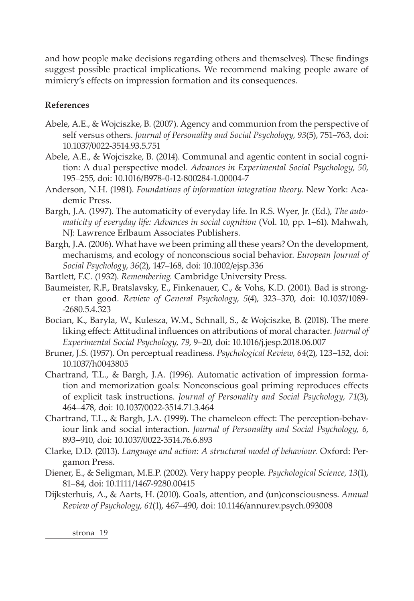and how people make decisions regarding others and themselves). These findings suggest possible practical implications. We recommend making people aware of mimicry's effects on impression formation and its consequences.

# **References**

- Abele, A.E., & Wojciszke, B. (2007). Agency and communion from the perspective of self versus others. *Journal of Personality and Social Psychology, 93*(5), 751–763, doi: 10.1037/0022-3514.93.5.751
- Abele, A.E., & Wojciszke, B. (2014). Communal and agentic content in social cognition: A dual perspective model. *Advances in Experimental Social Psychology, 50*, 195–255, doi: 10.1016/B978-0-12-800284-1.00004-7
- Anderson, N.H. (1981). *Foundations of information integration theory*. New York: Academic Press.
- Bargh, J.A. (1997). The automaticity of everyday life. In R.S. Wyer, Jr. (Ed.), *The auto*maticity of everyday life: Advances in social cognition (Vol. 10, pp. 1–61). Mahwah, NJ: Lawrence Erlbaum Associates Publishers.
- Bargh, J.A. (2006). What have we been priming all these years? On the development, mechanisms, and ecology of nonconscious social behavior. *European Journal of Social Psychology*, *36*(2), 147–168, doi: 10.1002/ejsp.336
- Bartlett, F.C. (1932). *Remembering.* Cambridge University Press.
- Baumeister, R.F., Bratslavsky, E., Finkenauer, C., & Vohs, K.D. (2001). Bad is stronger than good. *Review of General Psychology, 5*(4), 323–370, doi: 10.1037/1089- -2680.5.4.323
- Bocian, K., Baryla, W., Kulesza, W.M., Schnall, S., & Wojciszke, B. (2018). The mere liking effect: Attitudinal influences on attributions of moral character. *Journal of Experimental Social Psychology, 79*, 9–20, doi: 10.1016/j.jesp.2018.06.007
- Bruner, J.S. (1957). On perceptual readiness. *Psychological Review, 64*(2), 123–152, doi: 10.1037/h0043805
- Chartrand, T.L., & Bargh, J.A. (1996). Automatic activation of impression formation and memorization goals: Nonconscious goal priming reproduces effects of explicit task instructions. *Journal of Personality and Social Psychology, 71*(3), 464–478, doi: 10.1037/0022-3514.71.3.464
- Chartrand, T.L., & Bargh, J.A. (1999). The chameleon effect: The perception-behaviour link and social interaction. *Journal of Personality and Social Psychology, 6*, 893–910, doi: 10.1037/0022-3514.76.6.893
- Clarke, D.D. (2013). *Language and action: A structural model of behaviour.* Oxford: Pergamon Press.
- Diener, E., & Seligman, M.E.P. (2002). Very happy people. *Psychological Science, 13*(1), 81–84, doi: 10.1111/1467-9280.00415
- Dijksterhuis, A., & Aarts, H. (2010). Goals, attention, and (un)consciousness. *Annual Review of Psychology, 61*(1), 467–490, doi: 10.1146/annurev.psych.093008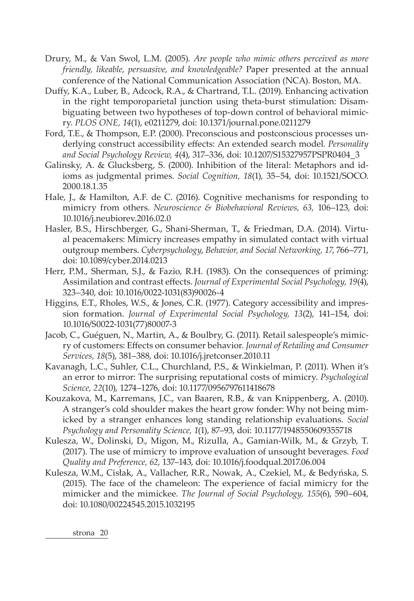- Drury, M., & Van Swol, L.M. (2005). *Are people who mimic others perceived as more friendly, likeable, persuasive, and knowledgeable?* Paper presented at the annual conference of the National Communication Association (NCA). Boston, MA.
- Duffy, K.A., Luber, B., Adcock, R.A., & Chartrand, T.L. (2019). Enhancing activation in the right temporoparietal junction using theta-burst stimulation: Disambiguating between two hypotheses of top-down control of behavioral mimicry. *PLOS ONE, 14*(1), e0211279, doi: 10.1371/journal.pone.0211279
- Ford, T.E., & Thompson, E.P. (2000). Preconscious and postconscious processes underlying construct accessibility effects: An extended search model. *Personality and Social Psychology Review, 4*(4), 317–336, doi: 10.1207/S15327957PSPR0404\_3
- Galinsky, A. & Glucksberg, S. (2000). Inhibition of the literal: Metaphors and idioms as judgmental primes. *Social Cognition, 18*(1), 35–54, doi: 10.1521/SOCO. 2000.18.1.35
- Hale, J., & Hamilton, A.F. de C. (2016). Cognitive mechanisms for responding to mimicry from others. *Neuroscience & Biobehavioral Reviews, 63,* 106–123, doi: 10.1016/j.neubiorev.2016.02.0
- Hasler, B.S., Hirschberger, G., Shani-Sherman, T., & Friedman, D.A. (2014). Virtual peacemakers: Mimicry increases empathy in simulated contact with virtual outgroup members. *Cyberpsychology*, *Behavior, and Social Networking, 17*, 766–771, doi: 10.1089/cyber.2014.0213
- Herr, P.M., Sherman, S.J., & Fazio, R.H. (1983). On the consequences of priming: Assimilation and contrast effects. *Journal of Experimental Social Psychology, 19*(4), 323–340, doi: 10.1016/0022-1031(83)90026-4
- Higgins, E.T., Rholes, W.S., & Jones, C.R. (1977). Category accessibility and impression formation. *Journal of Experimental Social Psychology, 13*(2), 141–154, doi: 10.1016/S0022-1031(77)80007-3
- Jacob, C., Guéguen, N., Martin, A., & Boulbry, G. (2011). Retail salespeople's mimicry of customers: Effects on consumer behavior. *Journal of Retailing and Consumer Services, 18*(5), 381–388, doi: 10.1016/j.jretconser.2010.11
- Kavanagh, L.C., Suhler, C.L., Churchland, P.S., & Winkielman, P. (2011). When it's an error to mirror: The surprising reputational costs of mimicry. *Psychological Science, 22*(10), 1274–1276, doi: 10.1177/0956797611418678
- Kouzakova, M., Karremans, J.C., van Baaren, R.B., & van Knippenberg, A. (2010). A stranger's cold shoulder makes the heart grow fonder: Why not being mimicked by a stranger enhances long standing relationship evaluations. *Social Psychology and Personality Science, 1*(1), 87–93, doi: 10.1177/1948550609355718
- Kulesza, W., Dolinski, D., Migon, M., Rizulla, A., Gamian-Wilk, M., & Grzyb, T. (2017). The use of mimicry to improve evaluation of unsought beverages. *Food Quality and Preference, 62*, 137–143, doi: 10.1016/j.foodqual.2017.06.004
- Kulesza, W.M., Cisłak, A., Vallacher, R.R., Nowak, A., Czekiel, M., & Bedyńska, S. (2015). The face of the chameleon: The experience of facial mimicry for the mimicker and the mimickee. *The Journal of Social Psychology, 155*(6), 590–604, doi: 10.1080/00224545.2015.1032195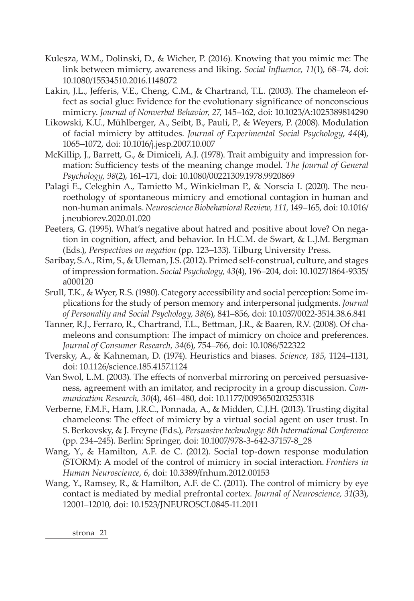- Kulesza, W.M., Dolinski, D., & Wicher, P. (2016). Knowing that you mimic me: The link between mimicry, awareness and liking. *Social Influence, 11*(1), 68–74, doi: 10.1080/15534510.2016.1148072
- Lakin, J.L., Jefferis, V.E., Cheng, C.M., & Chartrand, T.L. (2003). The chameleon effect as social glue: Evidence for the evolutionary significance of nonconscious mimicry. *Journal of Nonverbal Behavior, 27*, 145–162, doi: 10.1023/A:1025389814290
- Likowski, K.U., Mühlberger, A., Seibt, B., Pauli, P., & Weyers, P. (2008). Modulation of facial mimicry by attitudes. *Journal of Experimental Social Psychology*, *44*(4), 1065–1072, doi: 10.1016/j.jesp.2007.10.007
- McKillip, J., Barrett, G., & Dimiceli, A.J. (1978). Trait ambiguity and impression formation: Sufficiency tests of the meaning change model. *The Journal of General Psychology, 98*(2), 161–171, doi: 10.1080/00221309.1978.9920869
- Palagi E., Celeghin A., Tamietto M., Winkielman P., & Norscia I. (2020). The neuroethology of spontaneous mimicry and emotional contagion in human and non-human animals. *Neuroscience Biobehavioral Review, 111,* 149–165, doi: 10.1016/ j.neubiorev.2020.01.020
- Peeters, G. (1995). What's negative about hatred and positive about love? On negation in cognition, affect, and behavior. In H.C.M. de Swart, & L.J.M. Bergman (Eds.), *Perspectives on negation* (pp. 123–133). Tilburg University Press.
- Saribay, S.A., Rim, S., & Uleman, J.S. (2012). Primed self-construal, culture, and stages of impression formation. *Social Psychology, 43*(4), 196–204, doi: 10.1027/1864-9335/ a000120
- Srull, T.K., & Wyer, R.S. (1980). Category accessibility and social perception: Some implications for the study of person memory and interpersonal judgments. *Journal of Personality and Social Psychology, 38*(6), 841–856, doi: 10.1037/0022-3514.38.6.841
- Tanner, R.J., Ferraro, R., Chartrand, T.L., Bettman, J.R., & Baaren, R.V. (2008). Of chameleons and consumption: The impact of mimicry on choice and preferences. *Journal of Consumer Research, 34*(6), 754–766, doi: 10.1086/522322
- Tversky, A., & Kahneman, D. (1974). Heuristics and biases. *Science, 185*, 1124–1131, doi: 10.1126/science.185.4157.1124
- Van Swol, L.M. (2003). The effects of nonverbal mirroring on perceived persuasiveness, agreement with an imitator, and reciprocity in a group discussion. *Communication Research, 30*(4), 461–480, doi: 10.1177/0093650203253318
- Verberne, F.M.F., Ham, J.R.C., Ponnada, A., & Midden, C.J.H. (2013). Trusting digital chameleons: The effect of mimicry by a virtual social agent on user trust. In S. Berkovsky, & J. Freyne (Eds.), *Persuasive technology: 8th International Conference*  (pp. 234–245). Berlin: Springer, doi: 10.1007/978-3-642-37157-8\_28
- Wang, Y., & Hamilton, A.F. de C. (2012). Social top-down response modulation (STORM): A model of the control of mimicry in social interaction. *Frontiers in Human Neuroscience, 6*, doi: 10.3389/fnhum.2012.00153
- Wang, Y., Ramsey, R., & Hamilton, A.F. de C. (2011). The control of mimicry by eye contact is mediated by medial prefrontal cortex. *Journal of Neuroscience, 31*(33), 12001–12010, doi: 10.1523/JNEUROSCI.0845-11.2011